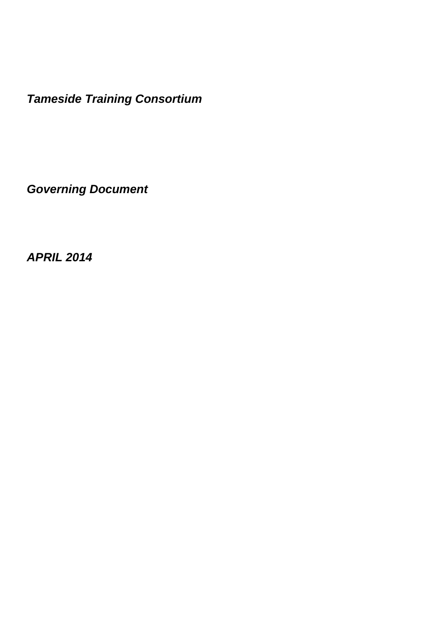*Tameside Training Consortium*

*Governing Document* 

*APRIL 2014*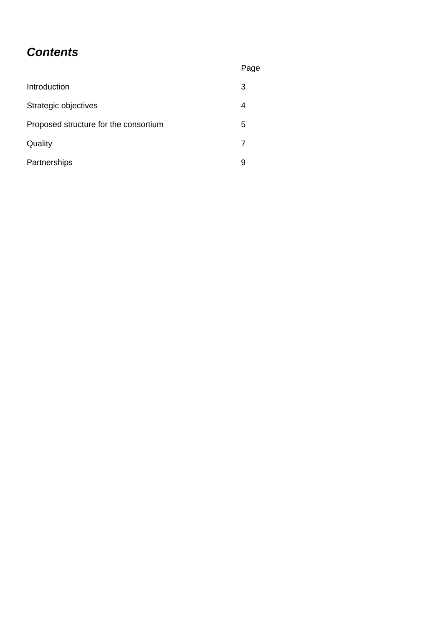# *Contents*

|                                       | Page |
|---------------------------------------|------|
| Introduction                          | 3    |
| Strategic objectives                  | 4    |
| Proposed structure for the consortium | 5    |
| Quality                               | 7    |
| Partnerships                          | 9    |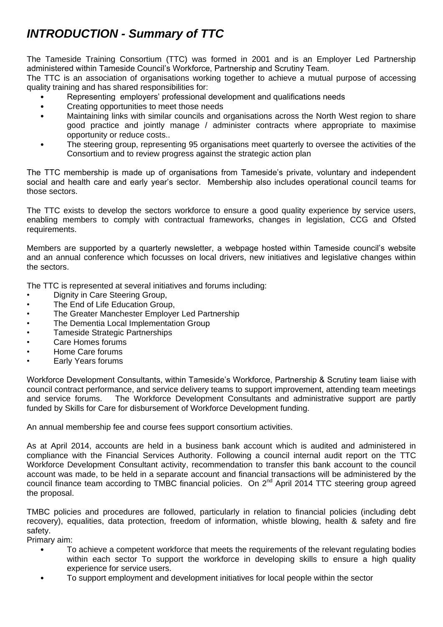# *INTRODUCTION - Summary of TTC*

The Tameside Training Consortium (TTC) was formed in 2001 and is an Employer Led Partnership administered within Tameside Council's Workforce, Partnership and Scrutiny Team.

The TTC is an association of organisations working together to achieve a mutual purpose of accessing quality training and has shared responsibilities for:

- Representing employers' professional development and qualifications needs
- Creating opportunities to meet those needs
- Maintaining links with similar councils and organisations across the North West region to share good practice and jointly manage / administer contracts where appropriate to maximise opportunity or reduce costs..
- The steering group, representing 95 organisations meet quarterly to oversee the activities of the Consortium and to review progress against the strategic action plan

The TTC membership is made up of organisations from Tameside's private, voluntary and independent social and health care and early year's sector. Membership also includes operational council teams for those sectors.

The TTC exists to develop the sectors workforce to ensure a good quality experience by service users, enabling members to comply with contractual frameworks, changes in legislation, CCG and Ofsted requirements.

Members are supported by a quarterly newsletter, a webpage hosted within Tameside council's website and an annual conference which focusses on local drivers, new initiatives and legislative changes within the sectors.

The TTC is represented at several initiatives and forums including:

- Dignity in Care Steering Group,
- The End of Life Education Group,
- The Greater Manchester Employer Led Partnership
- The Dementia Local Implementation Group
- Tameside Strategic Partnerships
- Care Homes forums
- Home Care forums
- Early Years forums

Workforce Development Consultants, within Tameside's Workforce, Partnership & Scrutiny team liaise with council contract performance, and service delivery teams to support improvement, attending team meetings and service forums. The Workforce Development Consultants and administrative support are partly funded by Skills for Care for disbursement of Workforce Development funding.

An annual membership fee and course fees support consortium activities.

As at April 2014, accounts are held in a business bank account which is audited and administered in compliance with the Financial Services Authority. Following a council internal audit report on the TTC Workforce Development Consultant activity, recommendation to transfer this bank account to the council account was made, to be held in a separate account and financial transactions will be administered by the council finance team according to TMBC financial policies. On 2<sup>nd</sup> April 2014 TTC steering group agreed the proposal.

TMBC policies and procedures are followed, particularly in relation to financial policies (including debt recovery), equalities, data protection, freedom of information, whistle blowing, health & safety and fire safety.

Primary aim:

- To achieve a competent workforce that meets the requirements of the relevant regulating bodies within each sector To support the workforce in developing skills to ensure a high quality experience for service users.
- To support employment and development initiatives for local people within the sector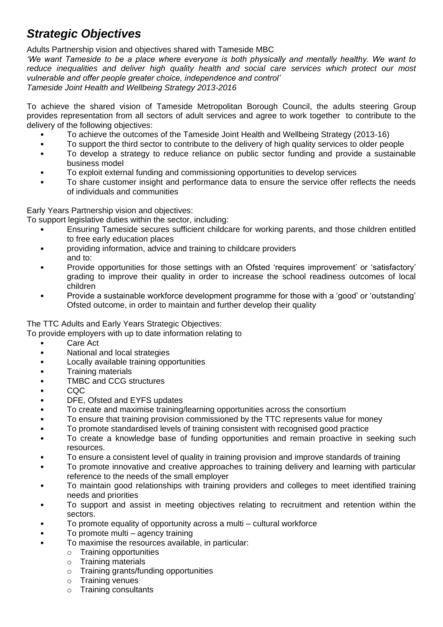# *Strategic Objectives*

Adults Partnership vision and objectives shared with Tameside MBC

*'We want Tameside to be a place where everyone is both physically and mentally healthy. We want to reduce inequalities and deliver high quality health and social care services which protect our most vulnerable and offer people greater choice, independence and control' Tameside Joint Health and Wellbeing Strategy 2013-2016*

To achieve the shared vision of Tameside Metropolitan Borough Council, the adults steering Group provides representation from all sectors of adult services and agree to work together to contribute to the delivery of the following objectives:

- To achieve the outcomes of the Tameside Joint Health and Wellbeing Strategy (2013-16)
- To support the third sector to contribute to the delivery of high quality services to older people
- To develop a strategy to reduce reliance on public sector funding and provide a sustainable business model
- To exploit external funding and commissioning opportunities to develop services
- To share customer insight and performance data to ensure the service offer reflects the needs of individuals and communities

Early Years Partnership vision and objectives: To support legislative duties within the sector, including:

- Ensuring Tameside secures sufficient childcare for working parents, and those children entitled to free early education places
- providing information, advice and training to childcare providers and to:
- Provide opportunities for those settings with an Ofsted 'requires improvement' or 'satisfactory' grading to improve their quality in order to increase the school readiness outcomes of local children
- Provide a sustainable workforce development programme for those with a 'good' or 'outstanding' Ofsted outcome, in order to maintain and further develop their quality

The TTC Adults and Early Years Strategic Objectives:

To provide employers with up to date information relating to

- Care Act
- National and local strategies
- Locally available training opportunities
- Training materials
- TMBC and CCG structures
- CQC
- DFE, Ofsted and EYFS updates
- To create and maximise training/learning opportunities across the consortium
- To ensure that training provision commissioned by the TTC represents value for money
- To promote standardised levels of training consistent with recognised good practice
- To create a knowledge base of funding opportunities and remain proactive in seeking such resources.
- To ensure a consistent level of quality in training provision and improve standards of training
- To promote innovative and creative approaches to training delivery and learning with particular reference to the needs of the small employer
- To maintain good relationships with training providers and colleges to meet identified training needs and priorities
- To support and assist in meeting objectives relating to recruitment and retention within the sectors.
- To promote equality of opportunity across a multi cultural workforce
- To promote multi agency training
- To maximise the resources available, in particular:
	- o Training opportunities
	- o Training materials
	- o Training grants/funding opportunities
	- o Training venues
	- o Training consultants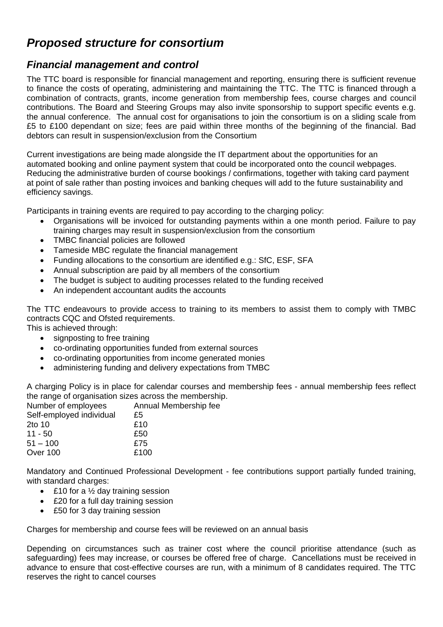### *Proposed structure for consortium*

### *Financial management and control*

The TTC board is responsible for financial management and reporting, ensuring there is sufficient revenue to finance the costs of operating, administering and maintaining the TTC. The TTC is financed through a combination of contracts, grants, income generation from membership fees, course charges and council contributions. The Board and Steering Groups may also invite sponsorship to support specific events e.g. the annual conference. The annual cost for organisations to join the consortium is on a sliding scale from £5 to £100 dependant on size; fees are paid within three months of the beginning of the financial. Bad debtors can result in suspension/exclusion from the Consortium

Current investigations are being made alongside the IT department about the opportunities for an automated booking and online payment system that could be incorporated onto the council webpages. Reducing the administrative burden of course bookings / confirmations, together with taking card payment at point of sale rather than posting invoices and banking cheques will add to the future sustainability and efficiency savings.

Participants in training events are required to pay according to the charging policy:

- Organisations will be invoiced for outstanding payments within a one month period. Failure to pay training charges may result in suspension/exclusion from the consortium
- TMBC financial policies are followed
- Tameside MBC regulate the financial management
- Funding allocations to the consortium are identified e.g.: SfC, ESF, SFA
- Annual subscription are paid by all members of the consortium
- The budget is subject to auditing processes related to the funding received
- An independent accountant audits the accounts

The TTC endeavours to provide access to training to its members to assist them to comply with TMBC contracts CQC and Ofsted requirements.

This is achieved through:

- signposting to free training
- co-ordinating opportunities funded from external sources
- co-ordinating opportunities from income generated monies
- administering funding and delivery expectations from TMBC

A charging Policy is in place for calendar courses and membership fees - annual membership fees reflect the range of organisation sizes across the membership.

| Number of employees      | Annual Membership fee |
|--------------------------|-----------------------|
| Self-employed individual | £5                    |
| 2to 10                   | £10                   |
| $11 - 50$                | £50                   |
| $51 - 100$               | £75                   |
| Over 100                 | £100                  |
|                          |                       |

Mandatory and Continued Professional Development - fee contributions support partially funded training, with standard charges:

- $\cdot$  £10 for a  $\frac{1}{2}$  day training session
- £20 for a full day training session
- £50 for 3 day training session

Charges for membership and course fees will be reviewed on an annual basis

Depending on circumstances such as trainer cost where the council prioritise attendance (such as safeguarding) fees may increase, or courses be offered free of charge. Cancellations must be received in advance to ensure that cost-effective courses are run, with a minimum of 8 candidates required. The TTC reserves the right to cancel courses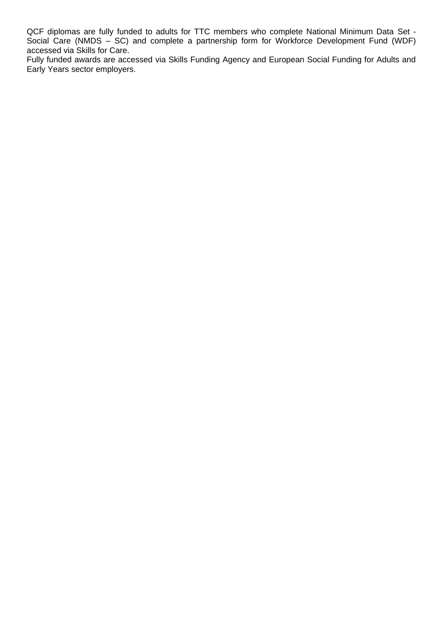QCF diplomas are fully funded to adults for TTC members who complete National Minimum Data Set - Social Care (NMDS – SC) and complete a partnership form for Workforce Development Fund (WDF) accessed via Skills for Care.

Fully funded awards are accessed via Skills Funding Agency and European Social Funding for Adults and Early Years sector employers.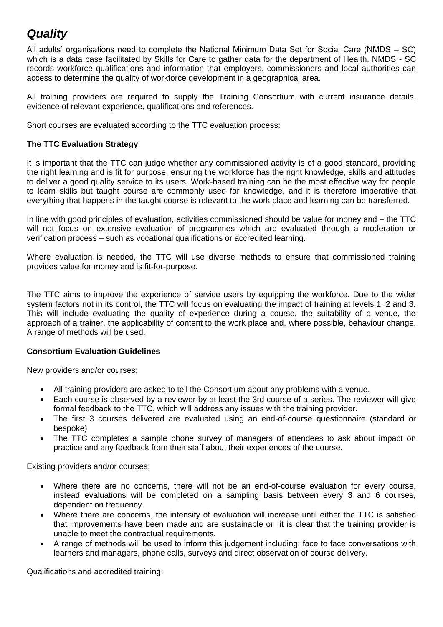# *Quality*

All adults' organisations need to complete the National Minimum Data Set for Social Care (NMDS – SC) which is a data base facilitated by Skills for Care to gather data for the department of Health. NMDS - SC records workforce qualifications and information that employers, commissioners and local authorities can access to determine the quality of workforce development in a geographical area.

All training providers are required to supply the Training Consortium with current insurance details, evidence of relevant experience, qualifications and references.

Short courses are evaluated according to the TTC evaluation process:

#### **The TTC Evaluation Strategy**

It is important that the TTC can judge whether any commissioned activity is of a good standard, providing the right learning and is fit for purpose, ensuring the workforce has the right knowledge, skills and attitudes to deliver a good quality service to its users. Work-based training can be the most effective way for people to learn skills but taught course are commonly used for knowledge, and it is therefore imperative that everything that happens in the taught course is relevant to the work place and learning can be transferred.

In line with good principles of evaluation, activities commissioned should be value for money and – the TTC will not focus on extensive evaluation of programmes which are evaluated through a moderation or verification process – such as vocational qualifications or accredited learning.

Where evaluation is needed, the TTC will use diverse methods to ensure that commissioned training provides value for money and is fit-for-purpose.

The TTC aims to improve the experience of service users by equipping the workforce. Due to the wider system factors not in its control, the TTC will focus on evaluating the impact of training at levels 1, 2 and 3. This will include evaluating the quality of experience during a course, the suitability of a venue, the approach of a trainer, the applicability of content to the work place and, where possible, behaviour change. A range of methods will be used.

### **Consortium Evaluation Guidelines**

New providers and/or courses:

- All training providers are asked to tell the Consortium about any problems with a venue.
- Each course is observed by a reviewer by at least the 3rd course of a series. The reviewer will give formal feedback to the TTC, which will address any issues with the training provider.
- The first 3 courses delivered are evaluated using an end-of-course questionnaire (standard or bespoke)
- The TTC completes a sample phone survey of managers of attendees to ask about impact on practice and any feedback from their staff about their experiences of the course.

Existing providers and/or courses:

- Where there are no concerns, there will not be an end-of-course evaluation for every course, instead evaluations will be completed on a sampling basis between every 3 and 6 courses, dependent on frequency.
- Where there are concerns, the intensity of evaluation will increase until either the TTC is satisfied that improvements have been made and are sustainable or it is clear that the training provider is unable to meet the contractual requirements.
- A range of methods will be used to inform this judgement including: face to face conversations with learners and managers, phone calls, surveys and direct observation of course delivery.

Qualifications and accredited training: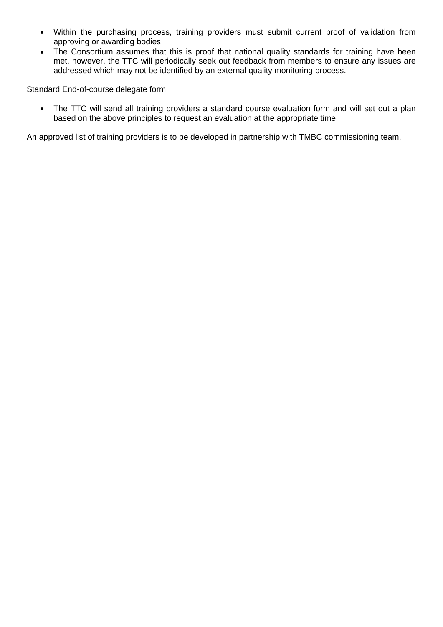- Within the purchasing process, training providers must submit current proof of validation from approving or awarding bodies.
- The Consortium assumes that this is proof that national quality standards for training have been met, however, the TTC will periodically seek out feedback from members to ensure any issues are addressed which may not be identified by an external quality monitoring process.

Standard End-of-course delegate form:

• The TTC will send all training providers a standard course evaluation form and will set out a plan based on the above principles to request an evaluation at the appropriate time.

An approved list of training providers is to be developed in partnership with TMBC commissioning team.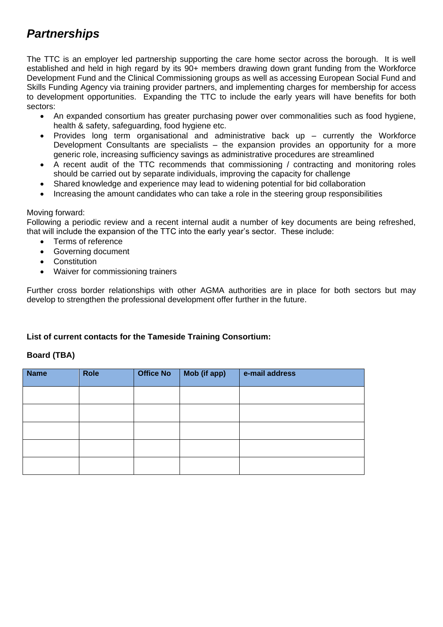# *Partnerships*

The TTC is an employer led partnership supporting the care home sector across the borough. It is well established and held in high regard by its 90+ members drawing down grant funding from the Workforce Development Fund and the Clinical Commissioning groups as well as accessing European Social Fund and Skills Funding Agency via training provider partners, and implementing charges for membership for access to development opportunities. Expanding the TTC to include the early years will have benefits for both sectors:

- An expanded consortium has greater purchasing power over commonalities such as food hygiene, health & safety, safeguarding, food hygiene etc.
- Provides long term organisational and administrative back up currently the Workforce Development Consultants are specialists – the expansion provides an opportunity for a more generic role, increasing sufficiency savings as administrative procedures are streamlined
- A recent audit of the TTC recommends that commissioning / contracting and monitoring roles should be carried out by separate individuals, improving the capacity for challenge
- Shared knowledge and experience may lead to widening potential for bid collaboration
- Increasing the amount candidates who can take a role in the steering group responsibilities

#### Moving forward:

Following a periodic review and a recent internal audit a number of key documents are being refreshed, that will include the expansion of the TTC into the early year's sector. These include:

- Terms of reference
- Governing document
- Constitution
- Waiver for commissioning trainers

Further cross border relationships with other AGMA authorities are in place for both sectors but may develop to strengthen the professional development offer further in the future.

### **List of current contacts for the Tameside Training Consortium:**

#### **Board (TBA)**

| <b>Name</b> | Role | <b>Office No</b> | Mob (if app) | e-mail address |
|-------------|------|------------------|--------------|----------------|
|             |      |                  |              |                |
|             |      |                  |              |                |
|             |      |                  |              |                |
|             |      |                  |              |                |
|             |      |                  |              |                |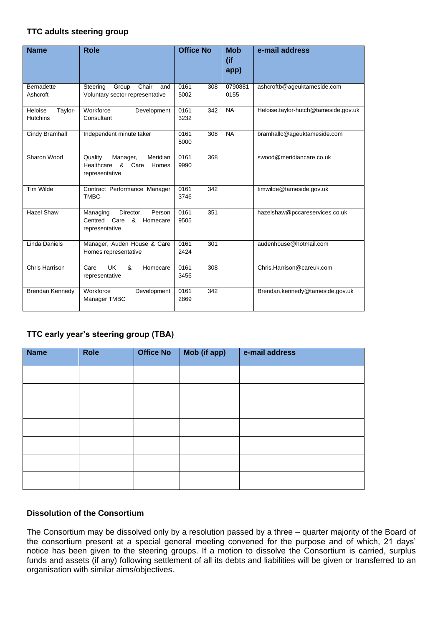#### **TTC adults steering group**

| <b>Name</b>           | <b>Role</b>                                                                        | <b>Office No</b>    | <b>Mob</b><br>(if<br>app) | e-mail address                       |
|-----------------------|------------------------------------------------------------------------------------|---------------------|---------------------------|--------------------------------------|
| <b>Bernadette</b>     | Steering<br>Group<br>Chair<br>and                                                  | 0161<br>308         | 0790881                   | ashcroftb@ageuktameside.com          |
| Ashcroft              | Voluntary sector representative                                                    | 5002                | 0155                      |                                      |
| Heloise<br>Taylor-    | Workforce<br>Development                                                           | 0161<br>342         | <b>NA</b>                 | Heloise.taylor-hutch@tameside.gov.uk |
| <b>Hutchins</b>       | Consultant                                                                         | 3232                |                           |                                      |
| Cindy Bramhall        | Independent minute taker                                                           | 0161<br>308<br>5000 | <b>NA</b>                 | bramhallc@ageuktameside.com          |
|                       |                                                                                    |                     |                           |                                      |
| Sharon Wood           | Quality<br>Manager,<br>Meridian<br>Healthcare<br>& Care<br>Homes<br>representative | 0161<br>368<br>9990 |                           | swood@meridiancare.co.uk             |
| <b>Tim Wilde</b>      | Contract Performance Manager                                                       | 0161<br>342         |                           | timwilde@tameside.gov.uk             |
|                       | <b>TMBC</b>                                                                        | 3746                |                           |                                      |
| <b>Hazel Shaw</b>     | Director,<br>Person<br>Managing                                                    | 0161<br>351         |                           | hazelshaw@pccareservices.co.uk       |
|                       | Centred Care<br>&<br>Homecare<br>representative                                    | 9505                |                           |                                      |
| <b>Linda Daniels</b>  | Manager, Auden House & Care<br>Homes representative                                | 0161<br>301<br>2424 |                           | audenhouse@hotmail.com               |
| <b>Chris Harrison</b> | UK<br>&<br>Care<br>Homecare<br>representative                                      | 0161<br>308<br>3456 |                           | Chris.Harrison@careuk.com            |
| Brendan Kennedy       | Workforce<br>Development<br>Manager TMBC                                           | 0161<br>342<br>2869 |                           | Brendan.kennedy@tameside.gov.uk      |

### **TTC early year's steering group (TBA)**

| <b>Name</b> | <b>Role</b> | <b>Office No</b> | Mob (if app) | e-mail address |
|-------------|-------------|------------------|--------------|----------------|
|             |             |                  |              |                |
|             |             |                  |              |                |
|             |             |                  |              |                |
|             |             |                  |              |                |
|             |             |                  |              |                |
|             |             |                  |              |                |
|             |             |                  |              |                |

### **Dissolution of the Consortium**

The Consortium may be dissolved only by a resolution passed by a three – quarter majority of the Board of the consortium present at a special general meeting convened for the purpose and of which, 21 days' notice has been given to the steering groups. If a motion to dissolve the Consortium is carried, surplus funds and assets (if any) following settlement of all its debts and liabilities will be given or transferred to an organisation with similar aims/objectives.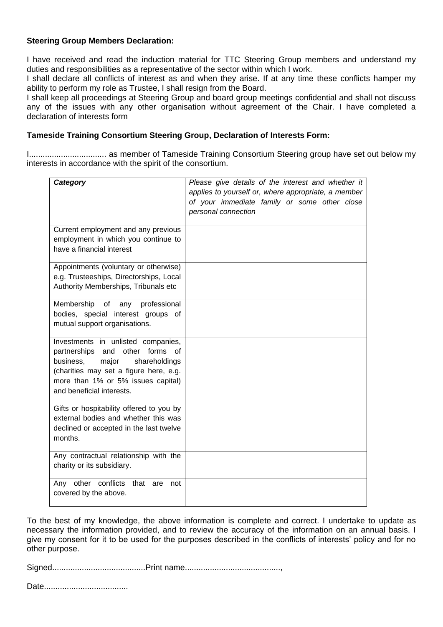#### **Steering Group Members Declaration:**

I have received and read the induction material for TTC Steering Group members and understand my duties and responsibilities as a representative of the sector within which I work.

I shall declare all conflicts of interest as and when they arise. If at any time these conflicts hamper my ability to perform my role as Trustee, I shall resign from the Board.

I shall keep all proceedings at Steering Group and board group meetings confidential and shall not discuss any of the issues with any other organisation without agreement of the Chair. I have completed a declaration of interests form

#### **Tameside Training Consortium Steering Group, Declaration of Interests Form:**

I.................................. as member of Tameside Training Consortium Steering group have set out below my interests in accordance with the spirit of the consortium.

| Category                                                                                                                                                                                                                              | Please give details of the interest and whether it<br>applies to yourself or, where appropriate, a member<br>of your immediate family or some other close<br>personal connection |
|---------------------------------------------------------------------------------------------------------------------------------------------------------------------------------------------------------------------------------------|----------------------------------------------------------------------------------------------------------------------------------------------------------------------------------|
| Current employment and any previous<br>employment in which you continue to<br>have a financial interest                                                                                                                               |                                                                                                                                                                                  |
| Appointments (voluntary or otherwise)<br>e.g. Trusteeships, Directorships, Local<br>Authority Memberships, Tribunals etc                                                                                                              |                                                                                                                                                                                  |
| Membership<br>of<br>any<br>professional<br>bodies, special interest groups of<br>mutual support organisations.                                                                                                                        |                                                                                                                                                                                  |
| Investments in unlisted companies,<br>and<br>other<br>forms<br>partnerships<br>Ωf<br>shareholdings<br>business,<br>major<br>(charities may set a figure here, e.g.<br>more than 1% or 5% issues capital)<br>and beneficial interests. |                                                                                                                                                                                  |
| Gifts or hospitability offered to you by<br>external bodies and whether this was<br>declined or accepted in the last twelve<br>months.                                                                                                |                                                                                                                                                                                  |
| Any contractual relationship with the<br>charity or its subsidiary.                                                                                                                                                                   |                                                                                                                                                                                  |
| conflicts<br>Any other<br>that<br>are<br>not<br>covered by the above.                                                                                                                                                                 |                                                                                                                                                                                  |

To the best of my knowledge, the above information is complete and correct. I undertake to update as necessary the information provided, and to review the accuracy of the information on an annual basis. I give my consent for it to be used for the purposes described in the conflicts of interests' policy and for no other purpose.

Signed.........................................Print name..........................................,

Date.....................................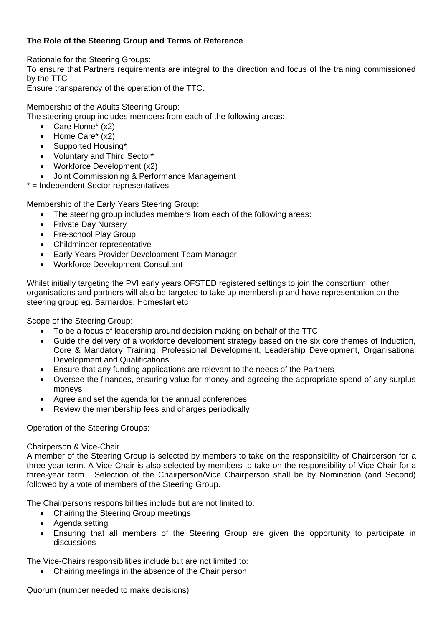### **The Role of the Steering Group and Terms of Reference**

Rationale for the Steering Groups:

To ensure that Partners requirements are integral to the direction and focus of the training commissioned by the TTC

Ensure transparency of the operation of the TTC.

Membership of the Adults Steering Group:

The steering group includes members from each of the following areas:

- Care Home\* (x2)
- Home Care\* (x2)
- Supported Housing\*
- Voluntary and Third Sector\*
- Workforce Development (x2)
- Joint Commissioning & Performance Management
- \* = Independent Sector representatives

Membership of the Early Years Steering Group:

- The steering group includes members from each of the following areas:
- Private Day Nursery
- Pre-school Play Group
- Childminder representative
- Early Years Provider Development Team Manager
- Workforce Development Consultant

Whilst initially targeting the PVI early years OFSTED registered settings to join the consortium, other organisations and partners will also be targeted to take up membership and have representation on the steering group eg. Barnardos, Homestart etc

Scope of the Steering Group:

- To be a focus of leadership around decision making on behalf of the TTC
- Guide the delivery of a workforce development strategy based on the six core themes of Induction, Core & Mandatory Training, Professional Development, Leadership Development, Organisational Development and Qualifications
- Ensure that any funding applications are relevant to the needs of the Partners
- Oversee the finances, ensuring value for money and agreeing the appropriate spend of any surplus moneys
- Agree and set the agenda for the annual conferences
- Review the membership fees and charges periodically

Operation of the Steering Groups:

#### Chairperson & Vice-Chair

A member of the Steering Group is selected by members to take on the responsibility of Chairperson for a three-year term. A Vice-Chair is also selected by members to take on the responsibility of Vice-Chair for a three-year term. Selection of the Chairperson/Vice Chairperson shall be by Nomination (and Second) followed by a vote of members of the Steering Group.

The Chairpersons responsibilities include but are not limited to:

- Chairing the Steering Group meetings
- Agenda setting
- Ensuring that all members of the Steering Group are given the opportunity to participate in discussions

The Vice-Chairs responsibilities include but are not limited to:

Chairing meetings in the absence of the Chair person

Quorum (number needed to make decisions)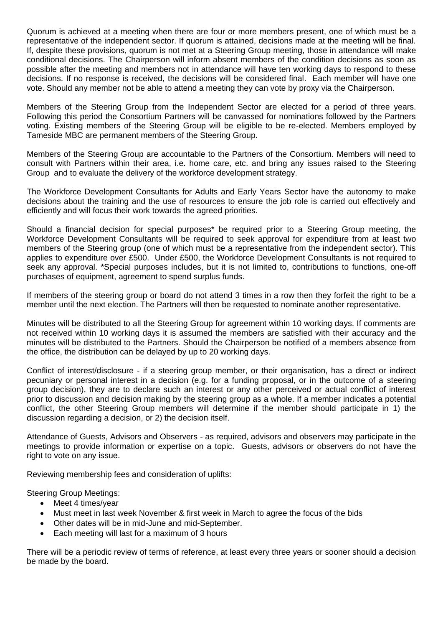Quorum is achieved at a meeting when there are four or more members present, one of which must be a representative of the independent sector. If quorum is attained, decisions made at the meeting will be final. If, despite these provisions, quorum is not met at a Steering Group meeting, those in attendance will make conditional decisions. The Chairperson will inform absent members of the condition decisions as soon as possible after the meeting and members not in attendance will have ten working days to respond to these decisions. If no response is received, the decisions will be considered final. Each member will have one vote. Should any member not be able to attend a meeting they can vote by proxy via the Chairperson.

Members of the Steering Group from the Independent Sector are elected for a period of three years. Following this period the Consortium Partners will be canvassed for nominations followed by the Partners voting. Existing members of the Steering Group will be eligible to be re-elected. Members employed by Tameside MBC are permanent members of the Steering Group.

Members of the Steering Group are accountable to the Partners of the Consortium. Members will need to consult with Partners within their area, i.e. home care, etc. and bring any issues raised to the Steering Group and to evaluate the delivery of the workforce development strategy.

The Workforce Development Consultants for Adults and Early Years Sector have the autonomy to make decisions about the training and the use of resources to ensure the job role is carried out effectively and efficiently and will focus their work towards the agreed priorities.

Should a financial decision for special purposes\* be required prior to a Steering Group meeting, the Workforce Development Consultants will be required to seek approval for expenditure from at least two members of the Steering group (one of which must be a representative from the independent sector). This applies to expenditure over £500. Under £500, the Workforce Development Consultants is not required to seek any approval. \*Special purposes includes, but it is not limited to, contributions to functions, one-off purchases of equipment, agreement to spend surplus funds.

If members of the steering group or board do not attend 3 times in a row then they forfeit the right to be a member until the next election. The Partners will then be requested to nominate another representative.

Minutes will be distributed to all the Steering Group for agreement within 10 working days. If comments are not received within 10 working days it is assumed the members are satisfied with their accuracy and the minutes will be distributed to the Partners. Should the Chairperson be notified of a members absence from the office, the distribution can be delayed by up to 20 working days.

Conflict of interest/disclosure - if a steering group member, or their organisation, has a direct or indirect pecuniary or personal interest in a decision (e.g. for a funding proposal, or in the outcome of a steering group decision), they are to declare such an interest or any other perceived or actual conflict of interest prior to discussion and decision making by the steering group as a whole. If a member indicates a potential conflict, the other Steering Group members will determine if the member should participate in 1) the discussion regarding a decision, or 2) the decision itself.

Attendance of Guests, Advisors and Observers - as required, advisors and observers may participate in the meetings to provide information or expertise on a topic. Guests, advisors or observers do not have the right to vote on any issue.

Reviewing membership fees and consideration of uplifts:

Steering Group Meetings:

- Meet 4 times/vear
- Must meet in last week November & first week in March to agree the focus of the bids
- Other dates will be in mid-June and mid-September.
- Each meeting will last for a maximum of 3 hours

There will be a periodic review of terms of reference, at least every three years or sooner should a decision be made by the board.